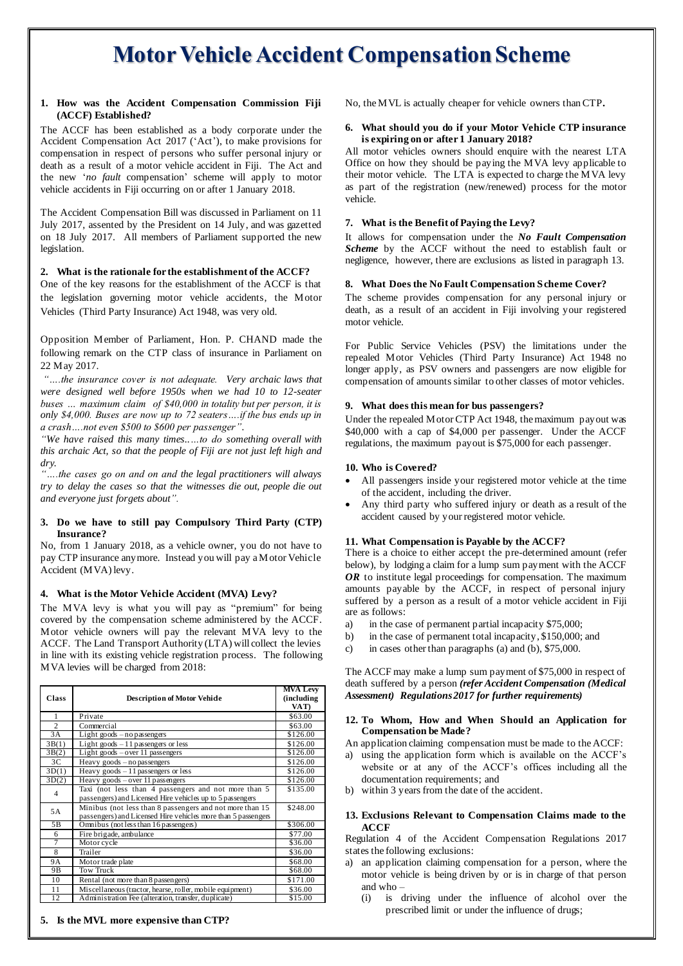# **Motor Vehicle Accident Compensation Scheme**

#### **1. How was the Accident Compensation Commission Fiji (ACCF) Established?**

The ACCF has been established as a body corporate under the Accident Compensation Act 2017 ('Act'), to make provisions for compensation in respect of persons who suffer personal injury or death as a result of a motor vehicle accident in Fiji. The Act and the new '*no fault* compensation' scheme will apply to motor vehicle accidents in Fiji occurring on or after 1 January 2018.

The Accident Compensation Bill was discussed in Parliament on 11 July 2017, assented by the President on 14 July, and was gazetted on 18 July 2017. All members of Parliament supported the new legislation.

### **2. What is the rationale for the establishment of the ACCF?**

One of the key reasons for the establishment of the ACCF is that the legislation governing motor vehicle accidents, the Motor Vehicles (Third Party Insurance) Act 1948, was very old.

Opposition Member of Parliament, Hon. P. CHAND made the following remark on the CTP class of insurance in Parliament on 22 May 2017.

*"….the insurance cover is not adequate. Very archaic laws that were designed well before 1950s when we had 10 to 12-seater buses … maximum claim of \$40,000 in totality but per person, it is only \$4,000. Buses are now up to 72 seaters….if the bus ends up in a crash….not even \$500 to \$600 per passenger".* 

*"We have raised this many times..…to do something overall with this archaic Act, so that the people of Fiji are not just left high and dry.*

*"….the cases go on and on and the legal practitioners will always try to delay the cases so that the witnesses die out, people die out and everyone just forgets about".*

#### **3. Do we have to still pay Compulsory Third Party (CTP) Insurance?**

No, from 1 January 2018, as a vehicle owner, you do not have to pay CTP insurance anymore. Instead you will pay a Motor Vehicle Accident (MVA) levy.

#### **4. What is the Motor Vehicle Accident (MVA) Levy?**

The MVA levy is what you will pay as "premium" for being covered by the compensation scheme administered by the ACCF. Motor vehicle owners will pay the relevant MVA levy to the ACCF. The Land Transport Authority (LTA) will collect the levies in line with its existing vehicle registration process. The following MVA levies will be charged from 2018:

| <b>Class</b>    | <b>Description of Motor Vehide</b>                                                                                        | <b>MVA Levy</b><br>(including<br>VAT) |
|-----------------|---------------------------------------------------------------------------------------------------------------------------|---------------------------------------|
| 1               | Private                                                                                                                   | \$63.00                               |
| $\mathfrak{D}$  | Commercial                                                                                                                | \$63.00                               |
| $\overline{3}A$ | Light goods $-$ no passengers                                                                                             | \$126.00                              |
| 3B(1)           | Light goods $-11$ passengers or less                                                                                      | \$126.00                              |
| 3B(2)           | Light goods $-$ over 11 passengers                                                                                        | \$126.00                              |
| 3 <sup>C</sup>  | Heavy goods $-$ no passengers                                                                                             | \$126.00                              |
| 3D(1)           | Heavy goods $-11$ passengers or less                                                                                      | \$126.00                              |
| 3D(2)           | Heavy goods $-$ over 11 passengers                                                                                        | \$126.00                              |
| $\overline{4}$  | Taxi (not less than 4 passengers and not more than 5<br>passengers) and Licensed Hire vehicles up to 5 passengers         | \$135.00                              |
| 5A              | Minibus (not less than 8 passengers and not more than 15<br>passengers) and Licensed Hire vehicles more than 5 passengers | \$248.00                              |
| 5B              | Omnibus (not less than 16 passengers)                                                                                     | \$306.00                              |
| 6               | Fire brigade, ambulance                                                                                                   | \$77.00                               |
| 7               | Motor cycle                                                                                                               | \$36.00                               |
| 8               | Trailer                                                                                                                   | \$36.00                               |
| <b>9A</b>       | Motor trade plate                                                                                                         | \$68.00                               |
| 9Β              | <b>Tow Truck</b>                                                                                                          | \$68.00                               |
| 10              | Rental (not more than 8 passengers)                                                                                       | \$171.00                              |
| 11              | Miscellaneous (tractor, hearse, roller, mobile equipment)                                                                 | \$36.00                               |
| 12              | Administration Fee (alteration, transfer, duplicate)                                                                      | \$15.00                               |

No, the MVL is actually cheaper for vehicle owners than CTP**.**

#### **6. What should you do if your Motor Vehicle CTP insurance is expiring on or after 1 January 2018?**

All motor vehicles owners should enquire with the nearest LTA Office on how they should be paying the MVA levy applicable to their motor vehicle. The LTA is expected to charge the MVA levy as part of the registration (new/renewed) process for the motor vehicle.

### **7. What is the Benefit of Paying the Levy?**

It allows for compensation under the *No Fault Compensation Scheme* by the ACCF without the need to establish fault or negligence, however, there are exclusions as listed in paragraph 13.

#### **8. What Does the No Fault Compensation Scheme Cover?**

The scheme provides compensation for any personal injury or death, as a result of an accident in Fiji involving your registered motor vehicle.

For Public Service Vehicles (PSV) the limitations under the repealed Motor Vehicles (Third Party Insurance) Act 1948 no longer apply, as PSV owners and passengers are now eligible for compensation of amounts similar to other classes of motor vehicles.

#### **9. What does this mean for bus passengers?**

Under the repealed Motor CTP Act 1948, the maximum payout was \$40,000 with a cap of \$4,000 per passenger. Under the ACCF regulations, the maximum payout is \$75,000 for each passenger.

#### **10. Who is Covered?**

- All passengers inside your registered motor vehicle at the time of the accident, including the driver.
- Any third party who suffered injury or death as a result of the accident caused by your registered motor vehicle.

#### **11. What Compensation is Payable by the ACCF?**

There is a choice to either accept the pre-determined amount (refer below), by lodging a claim for a lump sum payment with the ACCF *OR* to institute legal proceedings for compensation. The maximum amounts payable by the ACCF, in respect of personal injury suffered by a person as a result of a motor vehicle accident in Fiji are as follows:

- a) in the case of permanent partial incapacity \$75,000;
- b) in the case of permanent total incapacity, \$150,000; and
- c) in cases other than paragraphs (a) and (b), \$75,000.

The ACCF may make a lump sum payment of \$75,000 in respect of death suffered by a person *(refer Accident Compensation (Medical Assessment) Regulations 2017 for further requirements)*

### **12. To Whom, How and When Should an Application for Compensation be Made?**

An application claiming compensation must be made to the ACCF:

- a) using the application form which is available on the ACCF's website or at any of the ACCF's offices including all the documentation requirements; and
- b) within 3 years from the date of the accident.

#### **13. Exclusions Relevant to Compensation Claims made to the ACCF**

Regulation 4 of the Accident Compensation Regulations 2017 states the following exclusions:

- a) an application claiming compensation for a person, where the motor vehicle is being driven by or is in charge of that person and who –
	- (i) is driving under the influence of alcohol over the prescribed limit or under the influence of drugs;